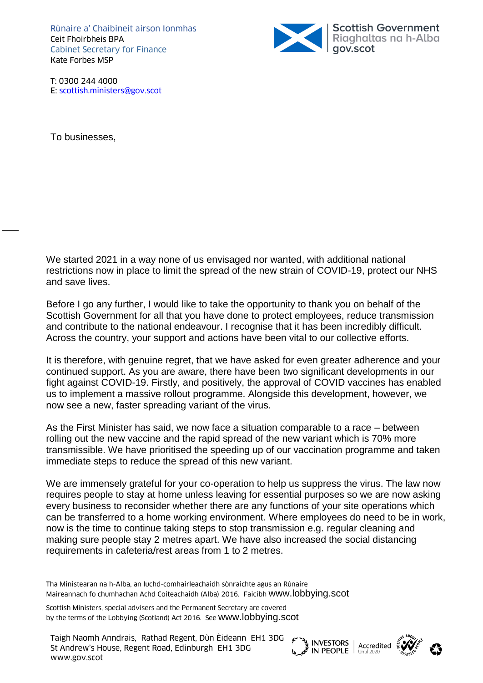Rùnaire a' Chaibineit airson Ionmhas Ceit Fhoirbheis BPA Cabinet Secretary for Finance Kate Forbes MSP



T: 0300 244 4000 E: [scottish.ministers@gov.scot](mailto:scottish.ministers@gov.scot)

To businesses,

 $\overline{\phantom{a}}$ 

We started 2021 in a way none of us envisaged nor wanted, with additional national restrictions now in place to limit the spread of the new strain of COVID-19, protect our NHS and save lives.

Before I go any further, I would like to take the opportunity to thank you on behalf of the Scottish Government for all that you have done to protect employees, reduce transmission and contribute to the national endeavour. I recognise that it has been incredibly difficult. Across the country, your support and actions have been vital to our collective efforts.

It is therefore, with genuine regret, that we have asked for even greater adherence and your continued support. As you are aware, there have been two significant developments in our fight against COVID-19. Firstly, and positively, the approval of COVID vaccines has enabled us to implement a massive rollout programme. Alongside this development, however, we now see a new, faster spreading variant of the virus.

As the First Minister has said, we now face a situation comparable to a race – between rolling out the new vaccine and the rapid spread of the new variant which is 70% more transmissible. We have prioritised the speeding up of our vaccination programme and taken immediate steps to reduce the spread of this new variant.

We are immensely grateful for your co-operation to help us suppress the virus. The law now requires people to stay at home unless leaving for essential purposes so we are now asking every business to reconsider whether there are any functions of your site operations which can be transferred to a home working environment. Where employees do need to be in work, now is the time to continue taking steps to stop transmission e.g. regular cleaning and making sure people stay 2 metres apart. We have also increased the social distancing requirements in cafeteria/rest areas from 1 to 2 metres.

Tha Ministearan na h-Alba, an luchd-comhairleachaidh sònraichte agus an Rùnaire Maireannach fo chumhachan Achd Coiteachaidh (Alba) 2016. Faicibh [www.lobbying.scot](http://www.lobbying.scot/)

Scottish Ministers, special advisers and the Permanent Secretary are covered by the terms of the Lobbying (Scotland) Act 2016. See [www.lobbying.scot](http://www.lobbying.scot/)





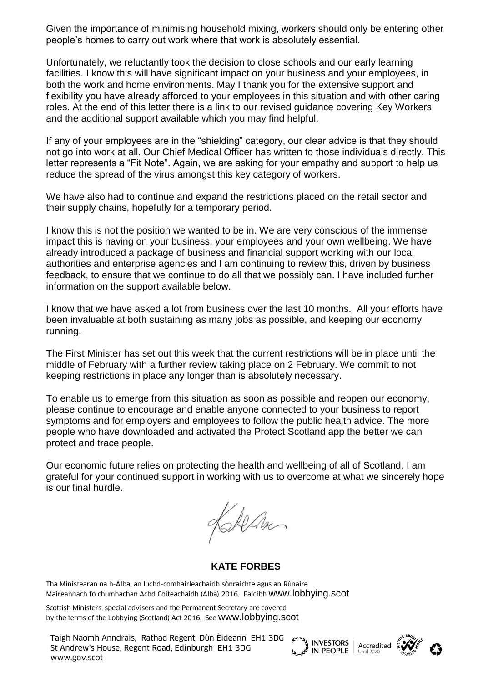Given the importance of minimising household mixing, workers should only be entering other people's homes to carry out work where that work is absolutely essential.

Unfortunately, we reluctantly took the decision to close schools and our early learning facilities. I know this will have significant impact on your business and your employees, in both the work and home environments. May I thank you for the extensive support and flexibility you have already afforded to your employees in this situation and with other caring roles. At the end of this letter there is a link to our revised guidance covering Key Workers and the additional support available which you may find helpful.

If any of your employees are in the "shielding" category, our clear advice is that they should not go into work at all. Our Chief Medical Officer has written to those individuals directly. This letter represents a "Fit Note". Again, we are asking for your empathy and support to help us reduce the spread of the virus amongst this key category of workers.

We have also had to continue and expand the restrictions placed on the retail sector and their supply chains, hopefully for a temporary period.

I know this is not the position we wanted to be in. We are very conscious of the immense impact this is having on your business, your employees and your own wellbeing. We have already introduced a package of business and financial support working with our local authorities and enterprise agencies and I am continuing to review this, driven by business feedback, to ensure that we continue to do all that we possibly can. I have included further information on the support available below.

I know that we have asked a lot from business over the last 10 months. All your efforts have been invaluable at both sustaining as many jobs as possible, and keeping our economy running.

The First Minister has set out this week that the current restrictions will be in place until the middle of February with a further review taking place on 2 February. We commit to not keeping restrictions in place any longer than is absolutely necessary.

To enable us to emerge from this situation as soon as possible and reopen our economy, please continue to encourage and enable anyone connected to your business to report symptoms and for employers and employees to follow the public health advice. The more people who have downloaded and activated the Protect Scotland app the better we can protect and trace people.

Our economic future relies on protecting the health and wellbeing of all of Scotland. I am grateful for your continued support in working with us to overcome at what we sincerely hope is our final hurdle.

KAlan

**KATE FORBES**

Tha Ministearan na h-Alba, an luchd-comhairleachaidh sònraichte agus an Rùnaire Maireannach fo chumhachan Achd Coiteachaidh (Alba) 2016. Faicibh [www.lobbying.scot](http://www.lobbying.scot/)

Scottish Ministers, special advisers and the Permanent Secretary are covered by the terms of the Lobbying (Scotland) Act 2016. See [www.lobbying.scot](http://www.lobbying.scot/)

Taigh Naomh Anndrais, Rathad Regent, Dùn Èideann EH1 3DG St Andrew's House, Regent Road, Edinburgh EH1 3DG I algn Naomn Annurais, Rathad Regent, Dun Eideann EHT 3DG<br>St Andrew's House, Regent Road, Edinburgh EHT 3DG<br>www.gov.scot



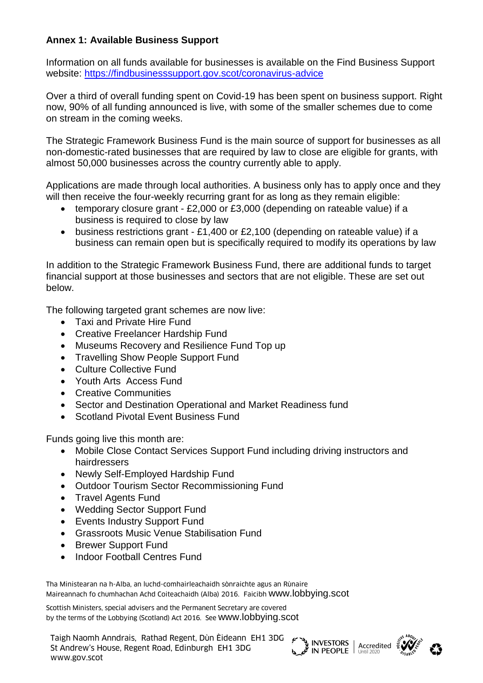## **Annex 1: Available Business Support**

Information on all funds available for businesses is available on the Find Business Support website:<https://findbusinesssupport.gov.scot/coronavirus-advice>

Over a third of overall funding spent on Covid-19 has been spent on business support. Right now, 90% of all funding announced is live, with some of the smaller schemes due to come on stream in the coming weeks.

The Strategic Framework Business Fund is the main source of support for businesses as all non-domestic-rated businesses that are required by law to close are eligible for grants, with almost 50,000 businesses across the country currently able to apply.

Applications are made through local authorities. A business only has to apply once and they will then receive the four-weekly recurring grant for as long as they remain eligible:

- temporary closure grant £2,000 or £3,000 (depending on rateable value) if a business is required to close by law
- business restrictions grant £1,400 or £2,100 (depending on rateable value) if a business can remain open but is specifically required to modify its operations by law

In addition to the Strategic Framework Business Fund, there are additional funds to target financial support at those businesses and sectors that are not eligible. These are set out below.

The following targeted grant schemes are now live:

- Taxi and Private Hire Fund
- Creative Freelancer Hardship Fund
- Museums Recovery and Resilience Fund Top up
- Travelling Show People Support Fund
- Culture Collective Fund
- Youth Arts Access Fund
- Creative Communities
- Sector and Destination Operational and Market Readiness fund
- Scotland Pivotal Event Business Fund

Funds going live this month are:

- Mobile Close Contact Services Support Fund including driving instructors and hairdressers
- Newly Self-Employed Hardship Fund
- Outdoor Tourism Sector Recommissioning Fund
- Travel Agents Fund
- Wedding Sector Support Fund
- Events Industry Support Fund
- Grassroots Music Venue Stabilisation Fund
- Brewer Support Fund
- Indoor Football Centres Fund

Tha Ministearan na h-Alba, an luchd-comhairleachaidh sònraichte agus an Rùnaire Maireannach fo chumhachan Achd Coiteachaidh (Alba) 2016. Faicibh [www.lobbying.scot](http://www.lobbying.scot/)

Scottish Ministers, special advisers and the Permanent Secretary are covered by the terms of the Lobbying (Scotland) Act 2016. See [www.lobbying.scot](http://www.lobbying.scot/)

Taigh Naomh Anndrais, Rathad Regent, Dùn Èideann EH1 3DG St Andrew's House, Regent Road, Edinburgh EH1 3DG I algn Naomn Annurais, Rathad Regent, Dun Eideann EHT 3DG<br>St Andrew's House, Regent Road, Edinburgh EHT 3DG<br>www.gov.scot



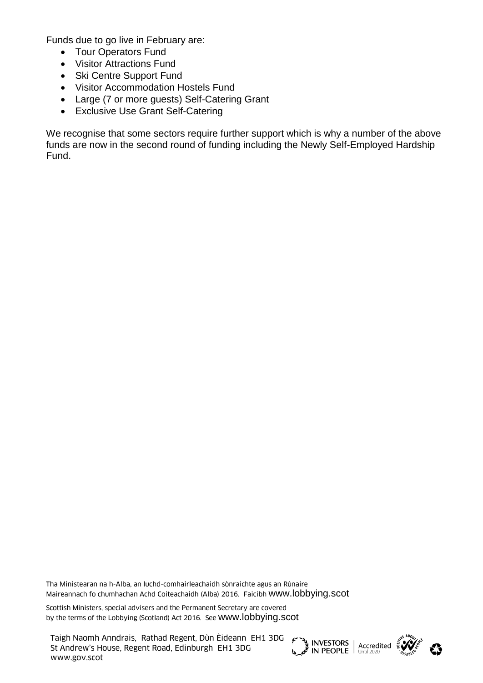Funds due to go live in February are:

- Tour Operators Fund
- Visitor Attractions Fund
- Ski Centre Support Fund
- Visitor Accommodation Hostels Fund
- Large (7 or more guests) Self-Catering Grant
- Exclusive Use Grant Self-Catering

We recognise that some sectors require further support which is why a number of the above funds are now in the second round of funding including the Newly Self-Employed Hardship Fund.

Tha Ministearan na h-Alba, an luchd-comhairleachaidh sònraichte agus an Rùnaire Maireannach fo chumhachan Achd Coiteachaidh (Alba) 2016. Faicibh [www.lobbying.scot](http://www.lobbying.scot/)

Scottish Ministers, special advisers and the Permanent Secretary are covered by the terms of the Lobbying (Scotland) Act 2016. See [www.lobbying.scot](http://www.lobbying.scot/)

Taigh Naomh Anndrais, Rathad Regent, Dùn Èideann EH1 3DG St Andrew's House, Regent Road, Edinburgh EH1 3DG I algn Naomn Annurais, Rathad Regent, Dun Eideann EHT 3DG<br>St Andrew's House, Regent Road, Edinburgh EHT 3DG<br>www.gov.scot